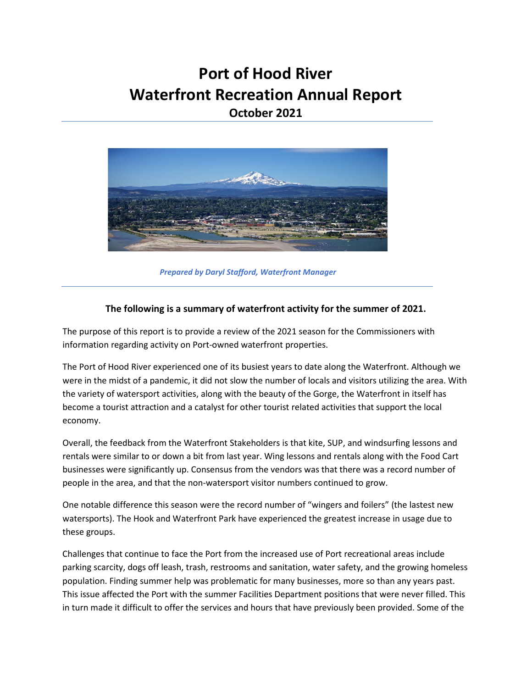## **Port of Hood River Waterfront Recreation Annual Report October 2021**



*Prepared by Daryl Stafford, Waterfront Manager*

#### **The following is a summary of waterfront activity for the summer of 2021.**

The purpose of this report is to provide a review of the 2021 season for the Commissioners with information regarding activity on Port-owned waterfront properties.

The Port of Hood River experienced one of its busiest years to date along the Waterfront. Although we were in the midst of a pandemic, it did not slow the number of locals and visitors utilizing the area. With the variety of watersport activities, along with the beauty of the Gorge, the Waterfront in itself has become a tourist attraction and a catalyst for other tourist related activities that support the local economy.

Overall, the feedback from the Waterfront Stakeholders is that kite, SUP, and windsurfing lessons and rentals were similar to or down a bit from last year. Wing lessons and rentals along with the Food Cart businesses were significantly up. Consensus from the vendors was that there was a record number of people in the area, and that the non-watersport visitor numbers continued to grow.

One notable difference this season were the record number of "wingers and foilers" (the lastest new watersports). The Hook and Waterfront Park have experienced the greatest increase in usage due to these groups.

Challenges that continue to face the Port from the increased use of Port recreational areas include parking scarcity, dogs off leash, trash, restrooms and sanitation, water safety, and the growing homeless population. Finding summer help was problematic for many businesses, more so than any years past. This issue affected the Port with the summer Facilities Department positions that were never filled. This in turn made it difficult to offer the services and hours that have previously been provided. Some of the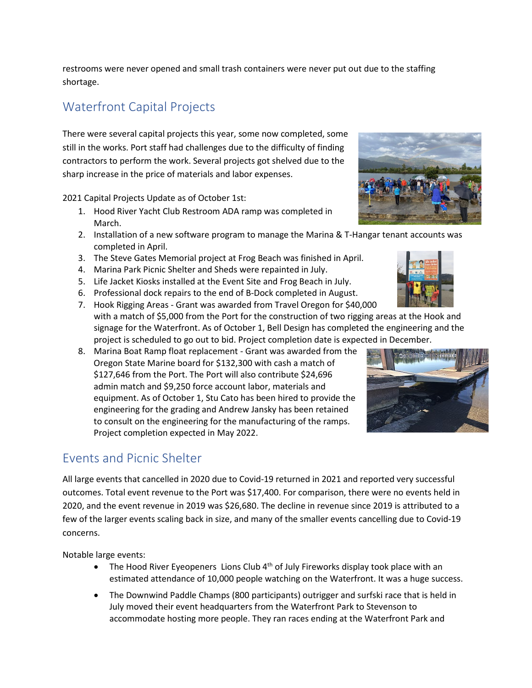restrooms were never opened and small trash containers were never put out due to the staffing shortage.

# Waterfront Capital Projects

There were several capital projects this year, some now completed, some still in the works. Port staff had challenges due to the difficulty of finding contractors to perform the work. Several projects got shelved due to the sharp increase in the price of materials and labor expenses.

2021 Capital Projects Update as of October 1st:

- 1. Hood River Yacht Club Restroom ADA ramp was completed in March.
- 2. Installation of a new software program to manage the Marina & T-Hangar tenant accounts was completed in April.
- 3. The Steve Gates Memorial project at Frog Beach was finished in April.
- 4. Marina Park Picnic Shelter and Sheds were repainted in July.
- 5. Life Jacket Kiosks installed at the Event Site and Frog Beach in July.
- 6. Professional dock repairs to the end of B-Dock completed in August.
- 7. Hook Rigging Areas Grant was awarded from Travel Oregon for \$40,000 with a match of \$5,000 from the Port for the construction of two rigging areas at the Hook and signage for the Waterfront. As of October 1, Bell Design has completed the engineering and the project is scheduled to go out to bid. Project completion date is expected in December.
- 8. Marina Boat Ramp float replacement Grant was awarded from the Oregon State Marine board for \$132,300 with cash a match of \$127,646 from the Port. The Port will also contribute \$24,696 admin match and \$9,250 force account labor, materials and equipment. As of October 1, Stu Cato has been hired to provide the engineering for the grading and Andrew Jansky has been retained to consult on the engineering for the manufacturing of the ramps. Project completion expected in May 2022.

## Events and Picnic Shelter

All large events that cancelled in 2020 due to Covid-19 returned in 2021 and reported very successful outcomes. Total event revenue to the Port was \$17,400. For comparison, there were no events held in 2020, and the event revenue in 2019 was \$26,680. The decline in revenue since 2019 is attributed to a few of the larger events scaling back in size, and many of the smaller events cancelling due to Covid-19 concerns.

Notable large events:

- The Hood River Eyeopeners Lions Club  $4<sup>th</sup>$  of July Fireworks display took place with an estimated attendance of 10,000 people watching on the Waterfront. It was a huge success.
- The Downwind Paddle Champs (800 participants) outrigger and surfski race that is held in July moved their event headquarters from the Waterfront Park to Stevenson to accommodate hosting more people. They ran races ending at the Waterfront Park and





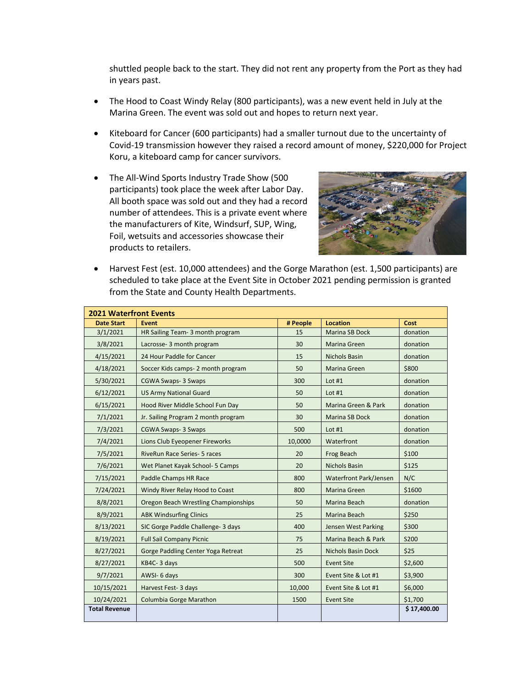shuttled people back to the start. They did not rent any property from the Port as they had in years past.

- The Hood to Coast Windy Relay (800 participants), was a new event held in July at the Marina Green. The event was sold out and hopes to return next year.
- Kiteboard for Cancer (600 participants) had a smaller turnout due to the uncertainty of Covid-19 transmission however they raised a record amount of money, \$220,000 for Project Koru, a kiteboard camp for cancer survivors.
- The All-Wind Sports Industry Trade Show (500 participants) took place the week after Labor Day. All booth space was sold out and they had a record number of attendees. This is a private event where the manufacturers of Kite, Windsurf, SUP, Wing, Foil, wetsuits and accessories showcase their products to retailers.



• Harvest Fest (est. 10,000 attendees) and the Gorge Marathon (est. 1,500 participants) are scheduled to take place at the Event Site in October 2021 pending permission is granted from the State and County Health Departments.

| <b>2021 Waterfront Events</b> |                                           |          |                               |             |  |  |
|-------------------------------|-------------------------------------------|----------|-------------------------------|-------------|--|--|
| <b>Date Start</b>             | Event                                     | # People | <b>Location</b>               | Cost        |  |  |
| 3/1/2021                      | HR Sailing Team- 3 month program          | 15       | <b>Marina SB Dock</b>         | donation    |  |  |
| 3/8/2021                      | Lacrosse- 3 month program                 | 30       | Marina Green                  | donation    |  |  |
| 4/15/2021                     | 24 Hour Paddle for Cancer                 | 15       | <b>Nichols Basin</b>          | donation    |  |  |
| 4/18/2021                     | Soccer Kids camps-2 month program         | 50       | Marina Green                  | \$800       |  |  |
| 5/30/2021                     | <b>CGWA Swaps-3 Swaps</b>                 | 300      | Lot $#1$                      | donation    |  |  |
| 6/12/2021                     | <b>US Army National Guard</b>             | 50       | Lot $#1$                      | donation    |  |  |
| 6/15/2021                     | Hood River Middle School Fun Day          | 50       | Marina Green & Park           | donation    |  |  |
| 7/1/2021                      | Jr. Sailing Program 2 month program       | 30       | Marina SB Dock                | donation    |  |  |
| 7/3/2021                      | <b>CGWA Swaps-3 Swaps</b>                 | 500      | Lot $#1$                      | donation    |  |  |
| 7/4/2021                      | Lions Club Eyeopener Fireworks            | 10,0000  | Waterfront                    | donation    |  |  |
| 7/5/2021                      | <b>RiveRun Race Series- 5 races</b>       | 20       | Frog Beach                    | \$100       |  |  |
| 7/6/2021                      | Wet Planet Kayak School- 5 Camps          | 20       | <b>Nichols Basin</b>          | \$125       |  |  |
| 7/15/2021                     | Paddle Champs HR Race                     | 800      | <b>Waterfront Park/Jensen</b> | N/C         |  |  |
| 7/24/2021                     | Windy River Relay Hood to Coast           | 800      | Marina Green                  | \$1600      |  |  |
| 8/8/2021                      | Oregon Beach Wrestling Championships      | 50       | Marina Beach                  | donation    |  |  |
| 8/9/2021                      | <b>ABK Windsurfing Clinics</b>            | 25       | Marina Beach                  | \$250       |  |  |
| 8/13/2021                     | SIC Gorge Paddle Challenge- 3 days        | 400      | Jensen West Parking           | \$300       |  |  |
| 8/19/2021                     | <b>Full Sail Company Picnic</b>           | 75       | Marina Beach & Park           | S200        |  |  |
| 8/27/2021                     | <b>Gorge Paddling Center Yoga Retreat</b> | 25       | <b>Nichols Basin Dock</b>     | \$25        |  |  |
| 8/27/2021                     | KB4C-3 days                               | 500      | <b>Event Site</b>             | \$2,600     |  |  |
| 9/7/2021                      | AWSI-6 days                               | 300      | Event Site & Lot #1           | \$3,900     |  |  |
| 10/15/2021                    | Harvest Fest- 3 days                      | 10,000   | Event Site & Lot #1           | \$6,000     |  |  |
| 10/24/2021                    | Columbia Gorge Marathon                   | 1500     | <b>Event Site</b>             | \$1,700     |  |  |
| <b>Total Revenue</b>          |                                           |          |                               | \$17,400.00 |  |  |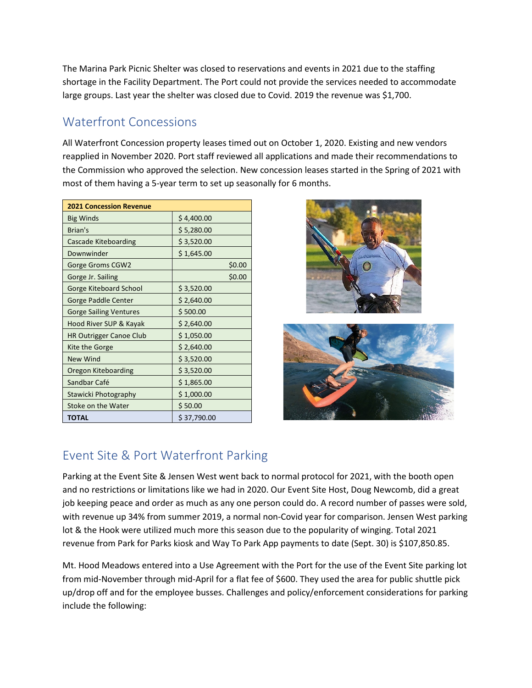The Marina Park Picnic Shelter was closed to reservations and events in 2021 due to the staffing shortage in the Facility Department. The Port could not provide the services needed to accommodate large groups. Last year the shelter was closed due to Covid. 2019 the revenue was \$1,700.

### Waterfront Concessions

All Waterfront Concession property leases timed out on October 1, 2020. Existing and new vendors reapplied in November 2020. Port staff reviewed all applications and made their recommendations to the Commission who approved the selection. New concession leases started in the Spring of 2021 with most of them having a 5-year term to set up seasonally for 6 months.

| <b>2021 Concession Revenue</b> |             |
|--------------------------------|-------------|
| <b>Big Winds</b>               | \$4,400.00  |
| Brian's                        | \$5,280.00  |
| <b>Cascade Kiteboarding</b>    | \$3,520.00  |
| Downwinder                     | \$1,645.00  |
| Gorge Groms CGW2               | \$0.00      |
| Gorge Jr. Sailing              | \$0.00      |
| Gorge Kiteboard School         | \$3,520.00  |
| Gorge Paddle Center            | \$2,640.00  |
| <b>Gorge Sailing Ventures</b>  | \$500.00    |
| Hood River SUP & Kayak         | \$2,640.00  |
| <b>HR Outrigger Canoe Club</b> | \$1,050.00  |
| Kite the Gorge                 | \$2,640.00  |
| <b>New Wind</b>                | \$3,520.00  |
| Oregon Kiteboarding            | \$3,520.00  |
| Sandbar Café                   | \$1,865.00  |
| Stawicki Photography           | \$1,000.00  |
| Stoke on the Water             | \$50.00     |
| TOTAL                          | \$37,790.00 |





## Event Site & Port Waterfront Parking

Parking at the Event Site & Jensen West went back to normal protocol for 2021, with the booth open and no restrictions or limitations like we had in 2020. Our Event Site Host, Doug Newcomb, did a great job keeping peace and order as much as any one person could do. A record number of passes were sold, with revenue up 34% from summer 2019, a normal non-Covid year for comparison. Jensen West parking lot & the Hook were utilized much more this season due to the popularity of winging. Total 2021 revenue from Park for Parks kiosk and Way To Park App payments to date (Sept. 30) is \$107,850.85.

Mt. Hood Meadows entered into a Use Agreement with the Port for the use of the Event Site parking lot from mid-November through mid-April for a flat fee of \$600. They used the area for public shuttle pick up/drop off and for the employee busses. Challenges and policy/enforcement considerations for parking include the following: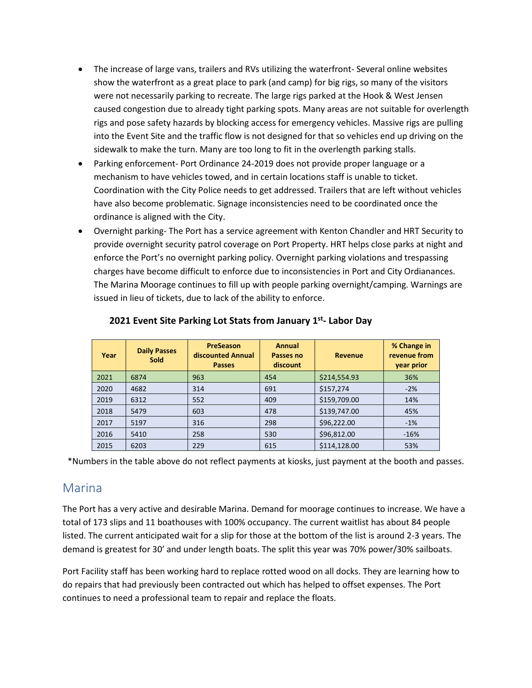- The increase of large vans, trailers and RVs utilizing the waterfront- Several online websites show the waterfront as a great place to park (and camp) for big rigs, so many of the visitors were not necessarily parking to recreate. The large rigs parked at the Hook & West Jensen caused congestion due to already tight parking spots. Many areas are not suitable for overlength rigs and pose safety hazards by blocking access for emergency vehicles. Massive rigs are pulling into the Event Site and the traffic flow is not designed for that so vehicles end up driving on the sidewalk to make the turn. Many are too long to fit in the overlength parking stalls.
- Parking enforcement- Port Ordinance 24-2019 does not provide proper language or a mechanism to have vehicles towed, and in certain locations staff is unable to ticket. Coordination with the City Police needs to get addressed. Trailers that are left without vehicles have also become problematic. Signage inconsistencies need to be coordinated once the ordinance is aligned with the City.
- Overnight parking- The Port has a service agreement with Kenton Chandler and HRT Security to provide overnight security patrol coverage on Port Property. HRT helps close parks at night and enforce the Port's no overnight parking policy. Overnight parking violations and trespassing charges have become difficult to enforce due to inconsistencies in Port and City Ordianances. The Marina Moorage continues to fill up with people parking overnight/camping. Warnings are issued in lieu of tickets, due to lack of the ability to enforce.

| Year | <b>Daily Passes</b><br><b>Sold</b> | <b>PreSeason</b><br>discounted Annual<br><b>Passes</b> | Annual<br>Passes no<br>discount | <b>Revenue</b> | % Change in<br>revenue from<br>year prior |
|------|------------------------------------|--------------------------------------------------------|---------------------------------|----------------|-------------------------------------------|
| 2021 | 6874                               | 963                                                    | 454                             | \$214,554.93   | 36%                                       |
| 2020 | 4682                               | 314                                                    | 691                             | \$157,274      | $-2%$                                     |
| 2019 | 6312                               | 552                                                    | 409                             | \$159,709.00   | 14%                                       |
| 2018 | 5479                               | 603                                                    | 478                             | \$139,747.00   | 45%                                       |
| 2017 | 5197                               | 316                                                    | 298                             | \$96,222.00    | $-1\%$                                    |
| 2016 | 5410                               | 258                                                    | 530                             | \$96,812.00    | $-16%$                                    |
| 2015 | 6203                               | 229                                                    | 615                             | \$114,128.00   | 53%                                       |

#### **2021 Event Site Parking Lot Stats from January 1st- Labor Day**

\*Numbers in the table above do not reflect payments at kiosks, just payment at the booth and passes.

### Marina

The Port has a very active and desirable Marina. Demand for moorage continues to increase. We have a total of 173 slips and 11 boathouses with 100% occupancy. The current waitlist has about 84 people listed. The current anticipated wait for a slip for those at the bottom of the list is around 2-3 years. The demand is greatest for 30' and under length boats. The split this year was 70% power/30% sailboats.

Port Facility staff has been working hard to replace rotted wood on all docks. They are learning how to do repairs that had previously been contracted out which has helped to offset expenses. The Port continues to need a professional team to repair and replace the floats.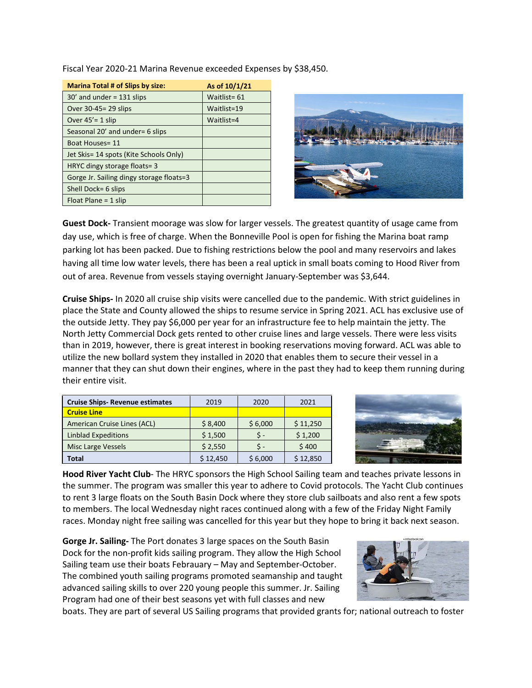Fiscal Year 2020-21 Marina Revenue exceeded Expenses by \$38,450.

| <b>Marina Total # of Slips by size:</b>  | As of 10/1/21 |
|------------------------------------------|---------------|
| $30'$ and under = 131 slips              | Waitlist= 61  |
| Over 30-45 = 29 slips                    | Waitlist=19   |
| Over $45' = 1$ slip                      | Waitlist=4    |
| Seasonal 20' and under= 6 slips          |               |
| Boat Houses= 11                          |               |
| Jet Skis= 14 spots (Kite Schools Only)   |               |
| HRYC dingy storage floats= 3             |               |
| Gorge Jr. Sailing dingy storage floats=3 |               |
| Shell Dock= 6 slips                      |               |
| Float Plane = $1$ slip                   |               |



**Guest Dock-** Transient moorage was slow for larger vessels. The greatest quantity of usage came from day use, which is free of charge. When the Bonneville Pool is open for fishing the Marina boat ramp parking lot has been packed. Due to fishing restrictions below the pool and many reservoirs and lakes having all time low water levels, there has been a real uptick in small boats coming to Hood River from out of area. Revenue from vessels staying overnight January-September was \$3,644.

**Cruise Ships-** In 2020 all cruise ship visits were cancelled due to the pandemic. With strict guidelines in place the State and County allowed the ships to resume service in Spring 2021. ACL has exclusive use of the outside Jetty. They pay \$6,000 per year for an infrastructure fee to help maintain the jetty. The North Jetty Commercial Dock gets rented to other cruise lines and large vessels. There were less visits than in 2019, however, there is great interest in booking reservations moving forward. ACL was able to utilize the new bollard system they installed in 2020 that enables them to secure their vessel in a manner that they can shut down their engines, where in the past they had to keep them running during their entire visit.

| <b>Cruise Ships- Revenue estimates</b> | 2019     | 2020    | 2021     |
|----------------------------------------|----------|---------|----------|
| <b>Cruise Line</b>                     |          |         |          |
| American Cruise Lines (ACL)            | \$8,400  | \$6,000 | \$11,250 |
| <b>Linblad Expeditions</b>             | \$1,500  |         | \$1,200  |
| <b>Misc Large Vessels</b>              | \$2,550  | ч.      | \$400    |
| Total                                  | \$12,450 | \$6,000 | \$12,850 |



**Hood River Yacht Club**- The HRYC sponsors the High School Sailing team and teaches private lessons in the summer. The program was smaller this year to adhere to Covid protocols. The Yacht Club continues to rent 3 large floats on the South Basin Dock where they store club sailboats and also rent a few spots to members. The local Wednesday night races continued along with a few of the Friday Night Family races. Monday night free sailing was cancelled for this year but they hope to bring it back next season.

**Gorge Jr. Sailing-** The Port donates 3 large spaces on the South Basin Dock for the non-profit kids sailing program. They allow the High School Sailing team use their boats Febrauary – May and September-October. The combined youth sailing programs promoted seamanship and taught advanced sailing skills to over 220 young people this summer. Jr. Sailing Program had one of their best seasons yet with full classes and new



boats. They are part of several US Sailing programs that provided grants for; national outreach to foster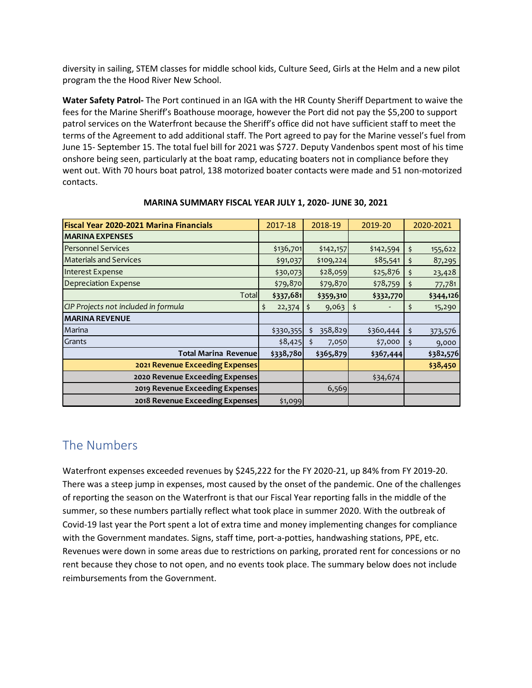diversity in sailing, STEM classes for middle school kids, Culture Seed, Girls at the Helm and a new pilot program the the Hood River New School.

**Water Safety Patrol-** The Port continued in an IGA with the HR County Sheriff Department to waive the fees for the Marine Sheriff's Boathouse moorage, however the Port did not pay the \$5,200 to support patrol services on the Waterfront because the Sheriff's office did not have sufficient staff to meet the terms of the Agreement to add additional staff. The Port agreed to pay for the Marine vessel's fuel from June 15- September 15. The total fuel bill for 2021 was \$727. Deputy Vandenbos spent most of his time onshore being seen, particularly at the boat ramp, educating boaters not in compliance before they went out. With 70 hours boat patrol, 138 motorized boater contacts were made and 51 non-motorized contacts.

| Fiscal Year 2020-2021 Marina Financials | 2017-18      | 2018-19       | 2019-20   | 2020-2021     |
|-----------------------------------------|--------------|---------------|-----------|---------------|
| <b>MARINA EXPENSES</b>                  |              |               |           |               |
| <b>Personnel Services</b>               | \$136,701    | \$142,157     | \$142,594 | \$<br>155,622 |
| <b>Materials and Services</b>           | \$91,037     | \$109,224     | \$85,541  | 87,295<br>\$  |
| <b>Interest Expense</b>                 | \$30,073     | \$28,059      | \$25,876  | 23,428<br>\$  |
| <b>Depreciation Expense</b>             | \$79,870     | \$79,870      | \$78,759  | 77,781<br>\$  |
| Total                                   | \$337,681    | \$359,310     | \$332,770 | \$344,126     |
| CIP Projects not included in formula    | \$<br>22,374 | 9,063         | \$        | \$<br>15,290  |
| <b>MARINA REVENUE</b>                   |              |               |           |               |
| Marina                                  | \$330,355    | 358,829<br>Ś. | \$360,444 | \$<br>373,576 |
| Grants                                  | \$8,425      | 7,050<br>- \$ | \$7,000   | \$<br>9,000   |
| <b>Total Marina Revenuel</b>            | \$338,780    | \$365,879     | \$367,444 | \$382,576     |
| 2021 Revenue Exceeding Expenses         |              |               |           | \$38,450      |
| 2020 Revenue Exceeding Expenses         |              |               | \$34,674  |               |
| 2019 Revenue Exceeding Expenses         |              | 6,569         |           |               |
| 2018 Revenue Exceeding Expenses         | \$1,099      |               |           |               |

#### **MARINA SUMMARY FISCAL YEAR JULY 1, 2020- JUNE 30, 2021**

### The Numbers

Waterfront expenses exceeded revenues by \$245,222 for the FY 2020-21, up 84% from FY 2019-20. There was a steep jump in expenses, most caused by the onset of the pandemic. One of the challenges of reporting the season on the Waterfront is that our Fiscal Year reporting falls in the middle of the summer, so these numbers partially reflect what took place in summer 2020. With the outbreak of Covid-19 last year the Port spent a lot of extra time and money implementing changes for compliance with the Government mandates. Signs, staff time, port-a-potties, handwashing stations, PPE, etc. Revenues were down in some areas due to restrictions on parking, prorated rent for concessions or no rent because they chose to not open, and no events took place. The summary below does not include reimbursements from the Government.